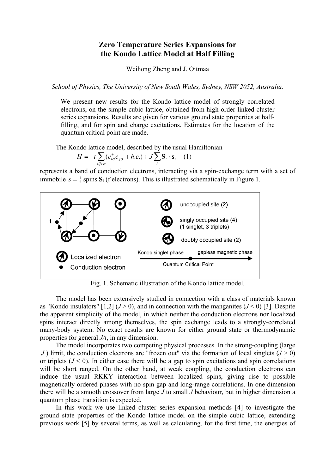## **Zero Temperature Series Expansions for the Kondo Lattice Model at Half Filling**

Weihong Zheng and J. Oitmaa

*School of Physics, The University of New South Wales, Sydney, NSW 2052, Australia.* 

We present new results for the Kondo lattice model of strongly correlated electrons, on the simple cubic lattice, obtained from high-order linked-cluster series expansions. Results are given for various ground state properties at halffilling, and for spin and charge excitations. Estimates for the location of the quantum critical point are made.

The Kondo lattice model, described by the usual Hamiltonian

$$
H = -t \sum_{\langle i \rangle \sigma} (c_{i\sigma}^{\dagger} c_{j\sigma} + h.c.) + J \sum_{i} \mathbf{S}_{i} \cdot \mathbf{s}_{i} \quad (1)
$$

represents a band of conduction electrons, interacting via a spin-exchange term with a set of immobile  $s = \frac{1}{2}$  spins  $S_i$  (f electrons). This is illustrated schematically in Figure 1.



Fig. 1. Schematic illustration of the Kondo lattice model.

The model has been extensively studied in connection with a class of materials known as "Kondo insulators"  $[1,2]$  ( $J > 0$ ), and in connection with the manganites ( $J < 0$ ) [3]. Despite the apparent simplicity of the model, in which neither the conduction electrons nor localized spins interact directly among themselves, the spin exchange leads to a strongly-correlated many-body system. No exact results are known for either ground state or thermodynamic properties for general *J/t*, in any dimension.

The model incorporates two competing physical processes. In the strong-coupling (large *J*) limit, the conduction electrons are "frozen out" via the formation of local singlets  $(J > 0)$ or triplets  $(J < 0)$ . In either case there will be a gap to spin excitations and spin correlations will be short ranged. On the other hand, at weak coupling, the conduction electrons can induce the usual RKKY interaction between localized spins, giving rise to possible magnetically ordered phases with no spin gap and long-range correlations. In one dimension there will be a smooth crossover from large *J* to small *J* behaviour, but in higher dimension a quantum phase transition is expected.

In this work we use linked cluster series expansion methods [4] to investigate the ground state properties of the Kondo lattice model on the simple cubic lattice, extending previous work [5] by several terms, as well as calculating, for the first time, the energies of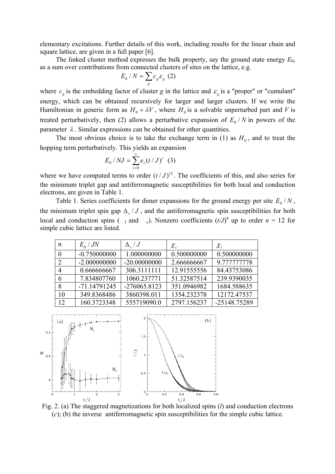elementary excitations. Further details of this work, including results for the linear chain and square lattice, are given in a full paper [6].

The linked cluster method expresses the bulk property, say the ground state energy *E*0, as a sum over contributions from connected clusters of sites on the lattice, e.g.

$$
E_0 / N = \sum_g c_g \varepsilon_g \ (2)
$$

where  $c_g$  is the embedding factor of cluster *g* in the lattice and  $\varepsilon_g$  is a "proper" or "cumulant" energy, which can be obtained recursively for larger and larger clusters. If we write the Hamiltonian in generic form as  $H_0 + \lambda V$ , where  $H_0$  is a solvable unperturbed part and *V* is treated perturbatively, then (2) allows a perturbative expansion of  $E_0/N$  in powers of the parameter  $\lambda$ . Similar expressions can be obtained for other quantities.

The most obvious choice is to take the exchange term in (1) as  $H_0$ , and to treat the hopping term perturbatively. This yields an expansion

$$
E_0 / NJ = \sum_{s=0}^{\infty} e_s (t/J)^s \quad (3)
$$

where we have computed terms to order  $(t/J)^{12}$ . The coefficients of this, and also series for the minimum triplet gap and antiferromagnetic susceptibilities for both local and conduction electrons, are given in Table 1.

Table 1. Series coefficients for dimer expansions for the ground energy per site  $E_0/N$ , the minimum triplet spin gap  $\Delta_s / J$ , and the antiferromagnetic spin susceptibilities for both local and conduction spins ( $\overline{a}$  and  $\overline{c}$ ). Nonzero coefficients  $(t/J)^n$  up to order  $n = 12$  for simple cubic lattice are listed.

| n  | $E_0 / JN$     | $\Delta$ , $/J$ | $\chi_{_{c}}$ | $\chi_{_I}$  |
|----|----------------|-----------------|---------------|--------------|
|    | $-0.750000000$ | 1.000000000     | 0.500000000   | 0.500000000  |
|    | $-2.000000000$ | $-20.00000000$  | 2.666666667   | 9.777777778  |
|    | 0.666666667    | 306.3111111     | 12.91555556   | 84.43753086  |
| 6  | 7.834807760    | 1060.237771     | 51.32587514   | 239.9390035  |
| 8  | $-71.14791245$ | $-276065.8123$  | 351.0946982   | 1684.588635  |
| 10 | 349.8368486    | 3860398.011     | 1354.232378   | 12172.47537  |
| 12 | 160.3723348    | 555719090.0     | 2797.156237   | -25148.75289 |



<sup>t/J</sup><br>Fig. 2. (a) The staggered magnetizations for both localized spins (*l*) and conduction electrons (*c*); (b) the inverse antiferromagnetic spin susceptibilities for the simple cubic lattice.